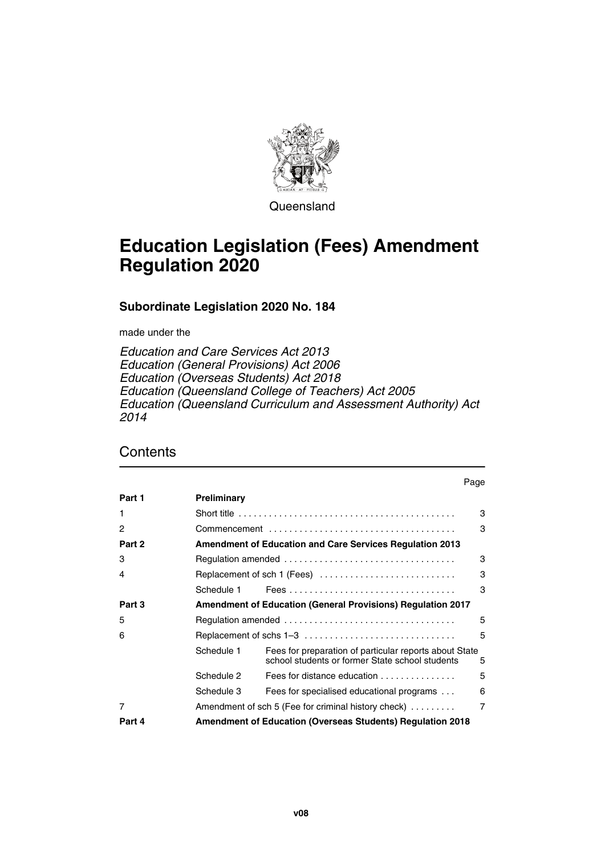

**Queensland** 

# **Education Legislation (Fees) Amendment Regulation 2020**

## **Subordinate Legislation 2020 No. 184**

made under the

*Education and Care Services Act 2013 Education (General Provisions) Act 2006 Education (Overseas Students) Act 2018 Education (Queensland College of Teachers) Act 2005 Education (Queensland Curriculum and Assessment Authority) Act 2014*

## **Contents**

|                |             |                                                                                                           | Page           |
|----------------|-------------|-----------------------------------------------------------------------------------------------------------|----------------|
| Part 1         | Preliminary |                                                                                                           |                |
| 1              |             | Short title $\ldots \ldots \ldots \ldots \ldots \ldots \ldots \ldots \ldots \ldots \ldots$                | 3              |
| 2              |             |                                                                                                           | 3              |
| Part 2         |             | <b>Amendment of Education and Care Services Regulation 2013</b>                                           |                |
| 3              |             |                                                                                                           | 3              |
| 4              |             | Replacement of sch 1 (Fees)                                                                               | 3              |
|                | Schedule 1  |                                                                                                           | 3              |
| Part 3         |             | <b>Amendment of Education (General Provisions) Regulation 2017</b>                                        |                |
| 5              |             |                                                                                                           | 5              |
| 6              |             | Replacement of schs 1–3                                                                                   | 5              |
|                | Schedule 1  | Fees for preparation of particular reports about State<br>school students or former State school students | 5              |
|                | Schedule 2  | Fees for distance education                                                                               | 5              |
|                | Schedule 3  | Fees for specialised educational programs                                                                 | 6              |
| $\overline{7}$ |             | Amendment of sch 5 (Fee for criminal history check)                                                       | $\overline{7}$ |
| Part 4         |             | Amendment of Education (Overseas Students) Regulation 2018                                                |                |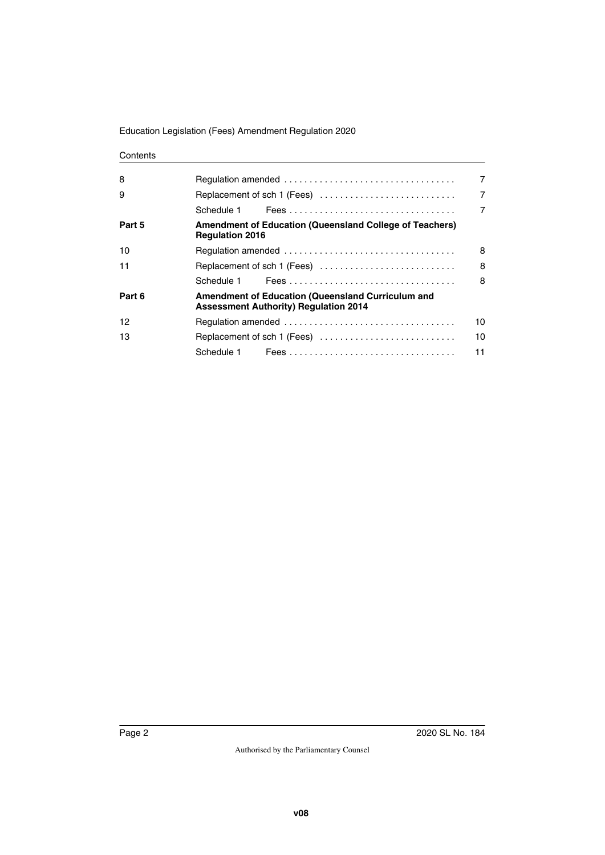### **Contents**

| 8      |                                                                                                          | 7              |
|--------|----------------------------------------------------------------------------------------------------------|----------------|
| 9      | Replacement of sch 1 (Fees)                                                                              | $\overline{7}$ |
|        |                                                                                                          | 7              |
| Part 5 | <b>Amendment of Education (Queensland College of Teachers)</b><br><b>Regulation 2016</b>                 |                |
| 10     |                                                                                                          | 8              |
| 11     | Replacement of sch 1 (Fees)                                                                              | 8              |
|        |                                                                                                          | 8              |
| Part 6 | <b>Amendment of Education (Queensland Curriculum and</b><br><b>Assessment Authority) Requiation 2014</b> |                |
| 12     |                                                                                                          | 10             |
| 13     | Replacement of sch 1 (Fees)                                                                              | 10             |
|        |                                                                                                          | 11             |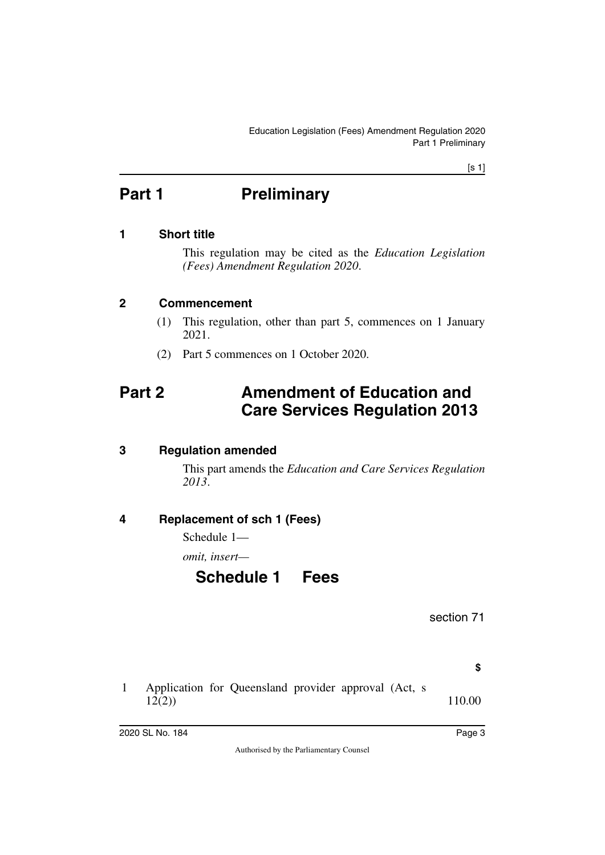[s 1]

# <span id="page-2-0"></span>**Part 1** Preliminary

## <span id="page-2-2"></span>**1 Short title**

<span id="page-2-3"></span><span id="page-2-1"></span>This regulation may be cited as the *Education Legislation (Fees) Amendment Regulation 2020*.

### <span id="page-2-4"></span>**2 Commencement**

- <span id="page-2-5"></span>(1) This regulation, other than part 5, commences on 1 January 2021.
- <span id="page-2-7"></span>(2) Part 5 commences on 1 October 2020.

# <span id="page-2-6"></span>**Part 2 Amendment of Education and Care Services Regulation 2013**

## <span id="page-2-8"></span>**3 Regulation amended**

<span id="page-2-9"></span>This part amends the *Education and Care Services Regulation 2013*.

## <span id="page-2-10"></span>**4 Replacement of sch 1 (Fees)**

<span id="page-2-11"></span>Schedule 1—

<span id="page-2-12"></span>*omit, insert—*

# <span id="page-2-13"></span>**Schedule 1 Fees**

section 71

**\$**

1 Application for Queensland provider approval (Act, s 12(2)) 110.00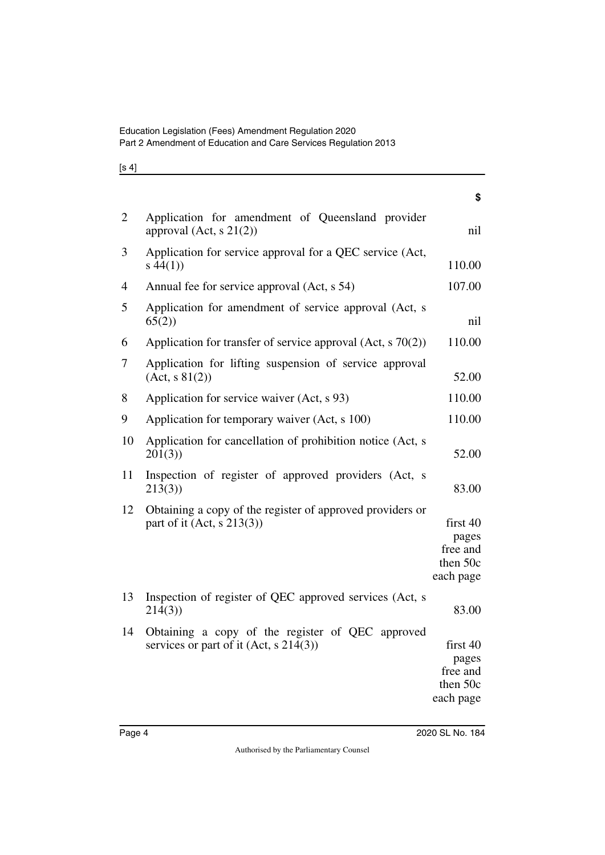| I<br>۰.<br>× |  |
|--------------|--|
|--------------|--|

| $\overline{2}$ | Application for amendment of Queensland provider<br>approval $(Act, s21(2))$                 | nil                                                    |
|----------------|----------------------------------------------------------------------------------------------|--------------------------------------------------------|
| 3              | Application for service approval for a QEC service (Act,<br>s(44(1))                         | 110.00                                                 |
| 4              | Annual fee for service approval (Act, s 54)                                                  | 107.00                                                 |
| 5              | Application for amendment of service approval (Act, s<br>65(2)                               | nil                                                    |
| 6              | Application for transfer of service approval $(Act, s 70(2))$                                | 110.00                                                 |
| 7              | Application for lifting suspension of service approval<br>(Act, s 81(2))                     | 52.00                                                  |
| 8              | Application for service waiver (Act, s 93)                                                   | 110.00                                                 |
| 9              | Application for temporary waiver (Act, s 100)                                                | 110.00                                                 |
| 10             | Application for cancellation of prohibition notice (Act, s<br>201(3)                         | 52.00                                                  |
| 11             | Inspection of register of approved providers (Act, s<br>213(3)                               | 83.00                                                  |
| 12             | Obtaining a copy of the register of approved providers or<br>part of it (Act, $s$ 213(3))    | first 40<br>pages<br>free and<br>then 50c<br>each page |
| 13             | Inspection of register of QEC approved services (Act, s<br>214(3)                            | 83.00                                                  |
| 14             | Obtaining a copy of the register of QEC approved<br>services or part of it (Act, $s$ 214(3)) | first 40<br>pages<br>free and<br>than $50a$            |

then 50c each page

**\$**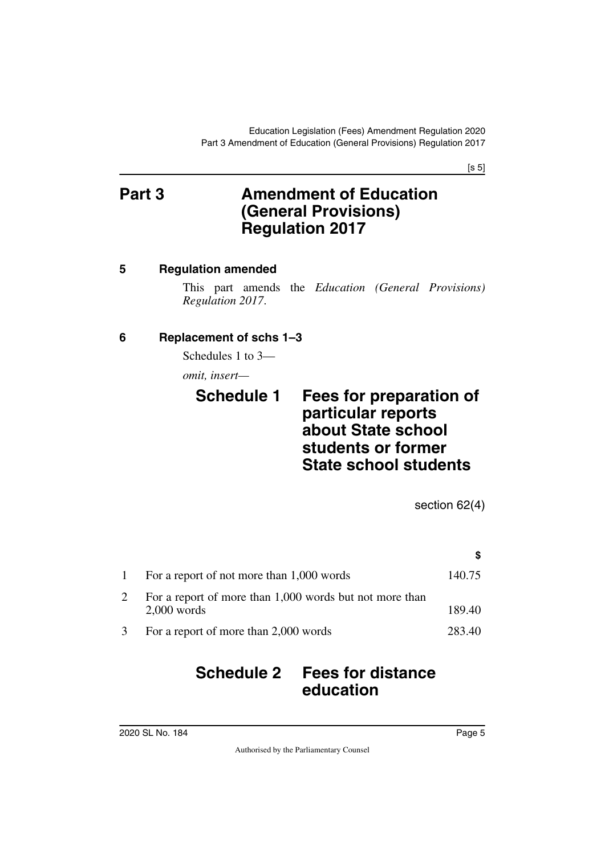[s 5]

# <span id="page-4-1"></span><span id="page-4-0"></span>**Part 3 Amendment of Education (General Provisions) Regulation 2017**

## <span id="page-4-2"></span>**5 Regulation amended**

<span id="page-4-3"></span>This part amends the *Education (General Provisions) Regulation 2017*.

## <span id="page-4-4"></span>**6 Replacement of schs 1–3**

<span id="page-4-5"></span>Schedules 1 to 3—

*omit, insert—*

## <span id="page-4-7"></span><span id="page-4-6"></span>**Schedule 1 Fees for preparation of particular reports about State school students or former State school students**

section 62(4)

**\$**

# 1 For a report of not more than 1,000 words 140.75 2 For a report of more than 1,000 words but not more than 2,000 words 189.40 3 For a report of more than 2,000 words 283.40

# <span id="page-4-9"></span><span id="page-4-8"></span>**Schedule 2 Fees for distance education**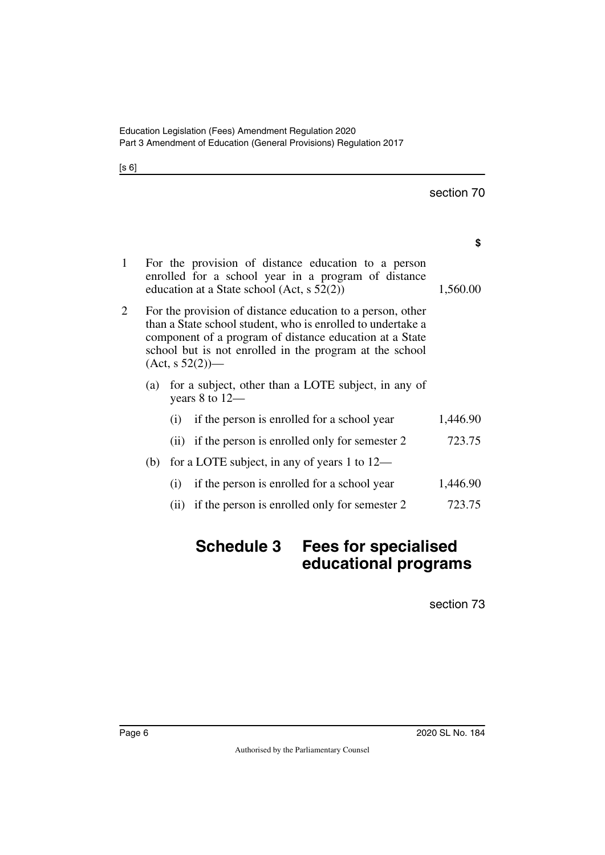[s 6]

|   |                                                                                                                                                                                                                                                                       |      |                                                                                                                                                            | section 70 |
|---|-----------------------------------------------------------------------------------------------------------------------------------------------------------------------------------------------------------------------------------------------------------------------|------|------------------------------------------------------------------------------------------------------------------------------------------------------------|------------|
|   |                                                                                                                                                                                                                                                                       |      |                                                                                                                                                            | \$         |
| 1 |                                                                                                                                                                                                                                                                       |      | For the provision of distance education to a person<br>enrolled for a school year in a program of distance<br>education at a State school (Act, $s$ 52(2)) | 1,560.00   |
| 2 | For the provision of distance education to a person, other<br>than a State school student, who is enrolled to undertake a<br>component of a program of distance education at a State<br>school but is not enrolled in the program at the school<br>$(Act, s 52(2))$ — |      |                                                                                                                                                            |            |
|   | (a)                                                                                                                                                                                                                                                                   |      | for a subject, other than a LOTE subject, in any of<br>years $8$ to $12-$                                                                                  |            |
|   |                                                                                                                                                                                                                                                                       | (i)  | if the person is enrolled for a school year                                                                                                                | 1,446.90   |
|   |                                                                                                                                                                                                                                                                       | (ii) | if the person is enrolled only for semester 2                                                                                                              | 723.75     |
|   | (b)                                                                                                                                                                                                                                                                   |      | for a LOTE subject, in any of years 1 to $12-$                                                                                                             |            |
|   |                                                                                                                                                                                                                                                                       | (i)  | if the person is enrolled for a school year                                                                                                                | 1,446.90   |
|   |                                                                                                                                                                                                                                                                       | (i)  | if the person is enrolled only for semester 2                                                                                                              | 723.75     |
|   |                                                                                                                                                                                                                                                                       |      |                                                                                                                                                            |            |

# <span id="page-5-1"></span><span id="page-5-0"></span>**Schedule 3 Fees for specialised educational programs**

section 73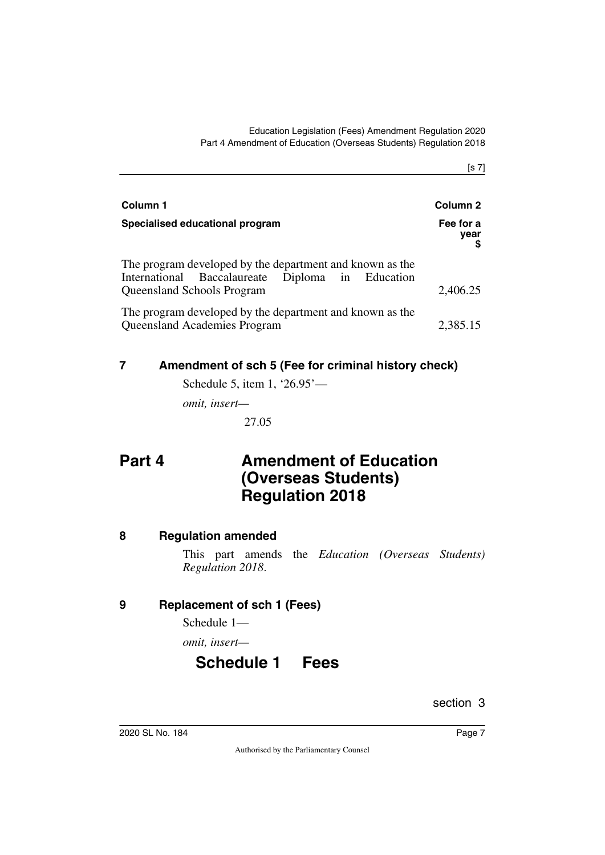[s 7]

| Column 1                                                                                                                                   | Column 2          |  |
|--------------------------------------------------------------------------------------------------------------------------------------------|-------------------|--|
| Specialised educational program                                                                                                            | Fee for a<br>year |  |
| The program developed by the department and known as the<br>International Baccalaureate Diploma in Education<br>Queensland Schools Program | 2,406.25          |  |
| The program developed by the department and known as the<br>Queensland Academies Program                                                   | 2,385.15          |  |

## <span id="page-6-0"></span>**7 Amendment of sch 5 (Fee for criminal history check)**

<span id="page-6-1"></span>Schedule 5, item 1, '26.95'—

*omit, insert—*

<span id="page-6-3"></span>27.05

# <span id="page-6-2"></span>**Part 4 Amendment of Education (Overseas Students) Regulation 2018**

## <span id="page-6-4"></span>**8 Regulation amended**

<span id="page-6-5"></span>This part amends the *Education (Overseas Students) Regulation 2018*.

## <span id="page-6-6"></span>**9 Replacement of sch 1 (Fees)**

<span id="page-6-7"></span>Schedule 1—

<span id="page-6-8"></span>*omit, insert—*

# <span id="page-6-9"></span>**Schedule 1 Fees**

section 3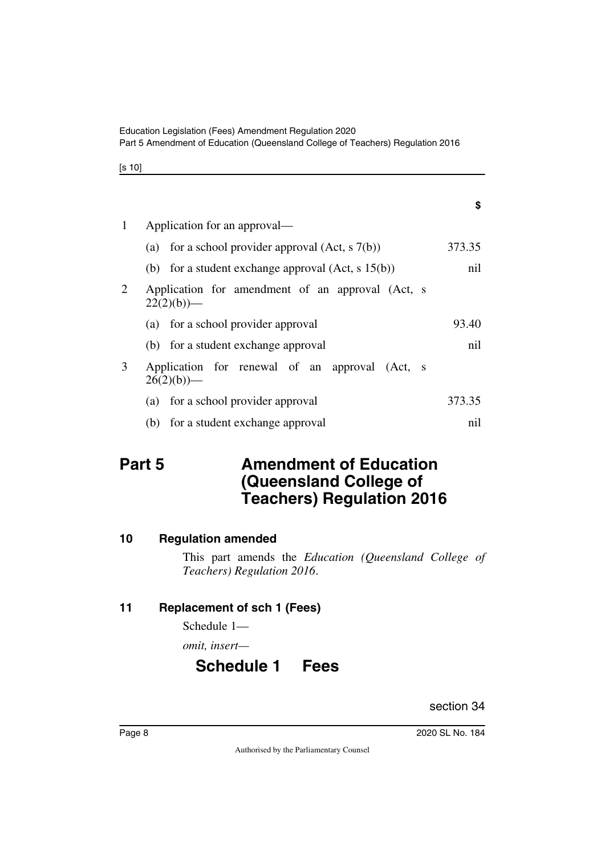[s 10]

| 1 | Application for an approval—                                     |        |
|---|------------------------------------------------------------------|--------|
|   | (a) for a school provider approval $(Act, s7(b))$                | 373.35 |
|   | (b) for a student exchange approval $(Act, s 15(b))$             | nil    |
| 2 | Application for amendment of an approval (Act, s<br>$22(2)(b)$ — |        |
|   | (a) for a school provider approval                               | 93.40  |
|   | (b) for a student exchange approval                              | nil    |
| 3 | Application for renewal of an approval (Act, s<br>$26(2)(b)$ —   |        |
|   | (a) for a school provider approval                               | 373.35 |
|   | (b) for a student exchange approval                              | nil    |

# <span id="page-7-1"></span><span id="page-7-0"></span>**Part 5** Amendment of Education **(Queensland College of Teachers) Regulation 2016**

## <span id="page-7-2"></span>**10 Regulation amended**

<span id="page-7-3"></span>This part amends the *Education (Queensland College of Teachers) Regulation 2016*.

## <span id="page-7-4"></span>**11 Replacement of sch 1 (Fees)**

<span id="page-7-5"></span>Schedule 1—

<span id="page-7-6"></span>*omit, insert—*

# <span id="page-7-7"></span>**Schedule 1 Fees**

section 34

**\$**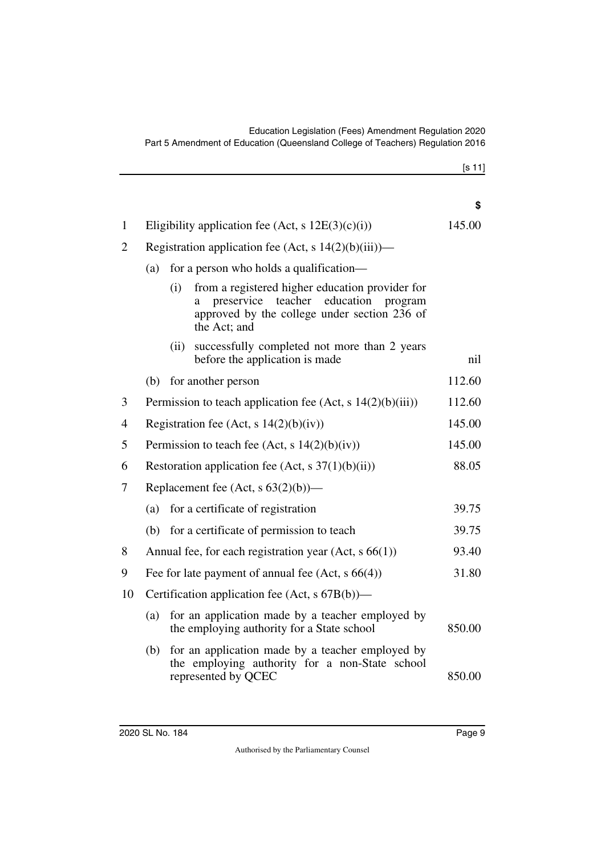|              |                                                         |          |                                                                                                                                                            | \$     |
|--------------|---------------------------------------------------------|----------|------------------------------------------------------------------------------------------------------------------------------------------------------------|--------|
| $\mathbf{1}$ | Eligibility application fee (Act, s $12E(3)(c)(i)$ )    |          |                                                                                                                                                            | 145.00 |
| 2            | Registration application fee (Act, s $14(2)(b)(iii)$ )— |          |                                                                                                                                                            |        |
|              | (a)                                                     |          | for a person who holds a qualification—                                                                                                                    |        |
|              |                                                         | (i)<br>a | from a registered higher education provider for<br>preservice teacher education<br>program<br>approved by the college under section 236 of<br>the Act; and |        |
|              |                                                         | (ii)     | successfully completed not more than 2 years<br>before the application is made                                                                             | nil    |
|              | (b)                                                     |          | for another person                                                                                                                                         | 112.60 |
| 3            |                                                         |          | Permission to teach application fee (Act, s $14(2)(b)(iii)$ )                                                                                              | 112.60 |
| 4            |                                                         |          | Registration fee (Act, s $14(2)(b)(iv)$ )                                                                                                                  | 145.00 |
| 5            | Permission to teach fee (Act, s $14(2)(b)(iv)$ )        |          |                                                                                                                                                            | 145.00 |
| 6            | Restoration application fee (Act, s $37(1)(b)(ii)$ )    |          |                                                                                                                                                            | 88.05  |
| 7            | Replacement fee (Act, $s$ 63(2)(b))—                    |          |                                                                                                                                                            |        |
|              | (a)                                                     |          | for a certificate of registration                                                                                                                          | 39.75  |
|              | (b)                                                     |          | for a certificate of permission to teach                                                                                                                   | 39.75  |
| 8            |                                                         |          | Annual fee, for each registration year (Act, s 66(1))                                                                                                      | 93.40  |
| 9            | Fee for late payment of annual fee $(Act, s66(4))$      |          |                                                                                                                                                            | 31.80  |
| 10           | Certification application fee (Act, s 67B(b))—          |          |                                                                                                                                                            |        |
|              | (a)                                                     |          | for an application made by a teacher employed by<br>the employing authority for a State school                                                             | 850.00 |
|              | (b)                                                     |          | for an application made by a teacher employed by<br>the employing authority for a non-State school<br>represented by QCEC                                  | 850.00 |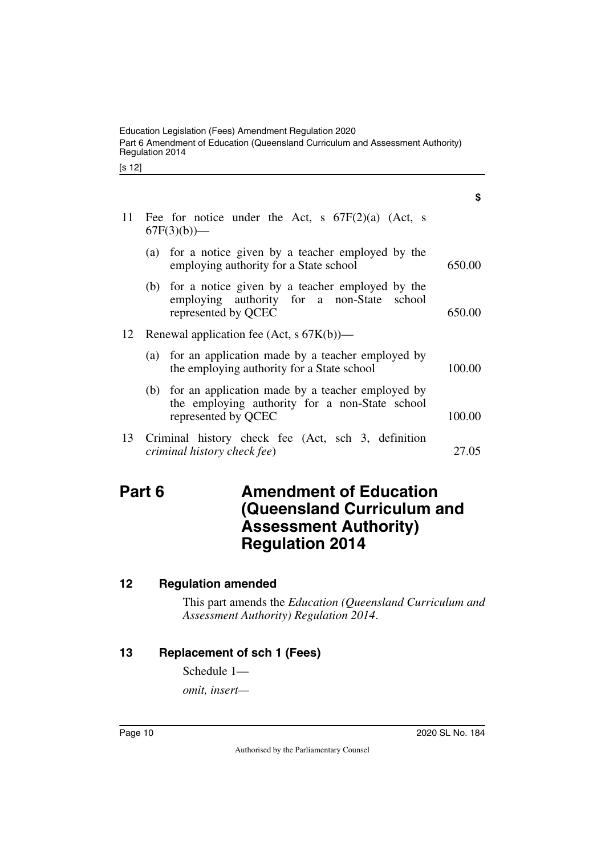[s 12]

|    |                                                                      |                                                                                                                               | \$     |  |
|----|----------------------------------------------------------------------|-------------------------------------------------------------------------------------------------------------------------------|--------|--|
| 11 | Fee for notice under the Act, s $67F(2)(a)$ (Act, s<br>$67F(3)(b)$ — |                                                                                                                               |        |  |
|    |                                                                      | (a) for a notice given by a teacher employed by the<br>employing authority for a State school                                 | 650.00 |  |
|    |                                                                      | (b) for a notice given by a teacher employed by the<br>employing authority for a non-State school<br>represented by QCEC      | 650.00 |  |
| 12 |                                                                      | Renewal application fee (Act, $s$ 67K(b))—                                                                                    |        |  |
|    |                                                                      | (a) for an application made by a teacher employed by<br>the employing authority for a State school                            | 100.00 |  |
|    |                                                                      | (b) for an application made by a teacher employed by<br>the employing authority for a non-State school<br>represented by QCEC | 100.00 |  |
| 13 |                                                                      | Criminal history check fee (Act, sch 3, definition<br>criminal history check fee)                                             | 27.05  |  |

# <span id="page-9-1"></span><span id="page-9-0"></span>**Part 6** Amendment of Education **(Queensland Curriculum and Assessment Authority) Regulation 2014**

### <span id="page-9-2"></span>**12 Regulation amended**

<span id="page-9-3"></span>This part amends the *Education (Queensland Curriculum and Assessment Authority) Regulation 2014*.

## <span id="page-9-4"></span>**13 Replacement of sch 1 (Fees)**

<span id="page-9-5"></span>Schedule 1—

*omit, insert—*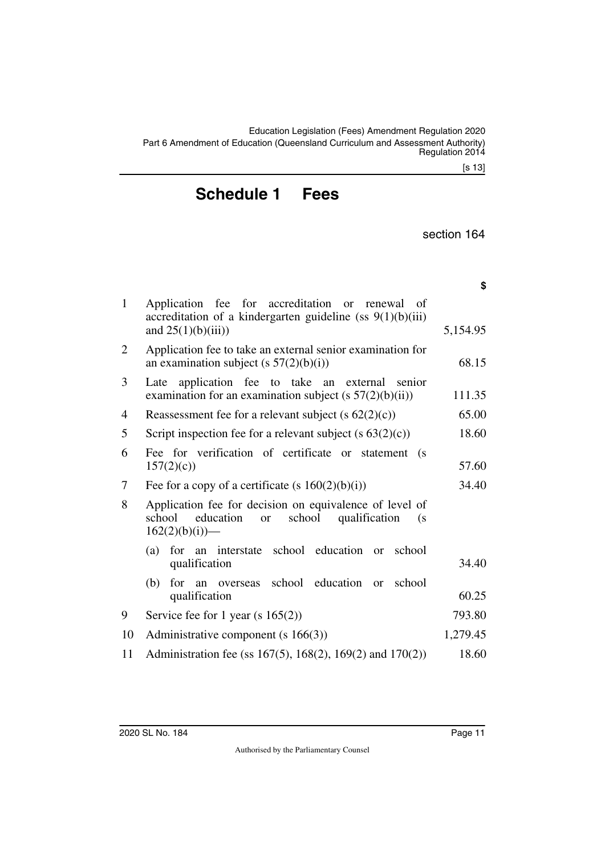**\$**

# <span id="page-10-1"></span><span id="page-10-0"></span>**Schedule 1 Fees**

section 164

| $\mathbf{1}$ | Application fee for accreditation or renewal<br>of<br>accreditation of a kindergarten guideline (ss $9(1)(b)(iii)$ )<br>and $25(1)(b)(iii)$          | 5,154.95 |
|--------------|------------------------------------------------------------------------------------------------------------------------------------------------------|----------|
| 2            | Application fee to take an external senior examination for<br>an examination subject (s $57(2)(b)(i)$ )                                              | 68.15    |
| 3            | application fee to take an<br>senior<br>external<br>Late<br>examination for an examination subject $(s 57(2)(b)(ii))$                                | 111.35   |
| 4            | Reassessment fee for a relevant subject (s $62(2)(c)$ )                                                                                              | 65.00    |
| 5            | Script inspection fee for a relevant subject $(s 63(2)(c))$                                                                                          | 18.60    |
| 6            | Fee for verification of certificate or statement<br>(s<br>157(2)(c)                                                                                  | 57.60    |
| 7            | Fee for a copy of a certificate (s $160(2)(b)(i)$ )                                                                                                  | 34.40    |
| 8            | Application fee for decision on equivalence of level of<br>school<br>school<br>education<br>qualification<br><sub>or</sub><br>(s<br>$162(2)(b)(i)$ — |          |
|              | for an interstate school education<br>(a)<br>school<br><b>or</b><br>qualification                                                                    | 34.40    |
|              | an overseas school education<br>(b)<br>for<br>school<br>$\alpha$<br>qualification                                                                    | 60.25    |
| 9            | Service fee for 1 year (s $165(2)$ )                                                                                                                 | 793.80   |
| 10           | Administrative component (s $166(3)$ )                                                                                                               | 1,279.45 |
| 11           | Administration fee (ss 167(5), 168(2), 169(2) and 170(2))                                                                                            | 18.60    |
|              |                                                                                                                                                      |          |